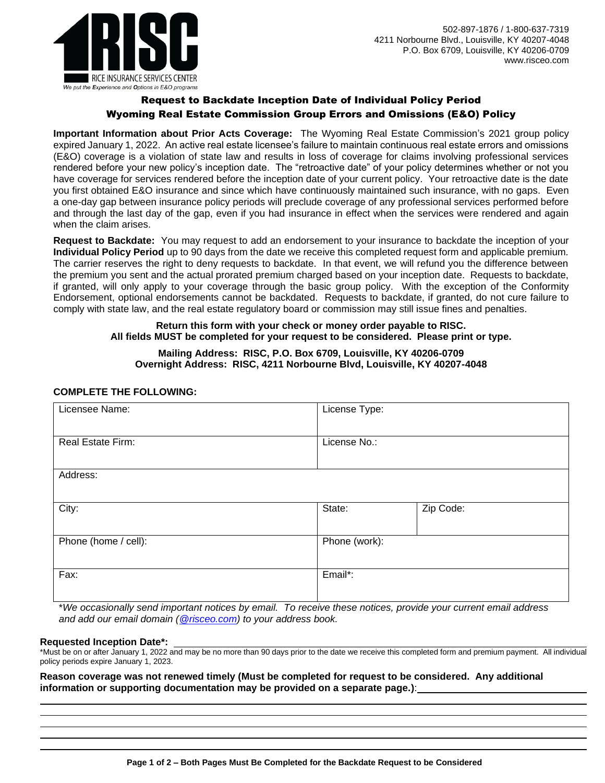



# Request to Backdate Inception Date of Individual Policy Period Wyoming Real Estate Commission Group Errors and Omissions (E&O) Policy

**Important Information about Prior Acts Coverage:** The Wyoming Real Estate Commission's 2021 group policy expired January 1, 2022. An active real estate licensee's failure to maintain continuous real estate errors and omissions (E&O) coverage is a violation of state law and results in loss of coverage for claims involving professional services rendered before your new policy's inception date. The "retroactive date" of your policy determines whether or not you have coverage for services rendered before the inception date of your current policy. Your retroactive date is the date you first obtained E&O insurance and since which have continuously maintained such insurance, with no gaps. Even a one-day gap between insurance policy periods will preclude coverage of any professional services performed before and through the last day of the gap, even if you had insurance in effect when the services were rendered and again when the claim arises.

**Request to Backdate:** You may request to add an endorsement to your insurance to backdate the inception of your **Individual Policy Period** up to 90 days from the date we receive this completed request form and applicable premium. The carrier reserves the right to deny requests to backdate. In that event, we will refund you the difference between the premium you sent and the actual prorated premium charged based on your inception date. Requests to backdate, if granted, will only apply to your coverage through the basic group policy. With the exception of the Conformity Endorsement, optional endorsements cannot be backdated. Requests to backdate, if granted, do not cure failure to comply with state law, and the real estate regulatory board or commission may still issue fines and penalties.

# **Return this form with your check or money order payable to RISC. All fields MUST be completed for your request to be considered. Please print or type.**

### **Mailing Address: RISC, P.O. Box 6709, Louisville, KY 40206-0709 Overnight Address: RISC, 4211 Norbourne Blvd, Louisville, KY 40207-4048**

## **COMPLETE THE FOLLOWING:**

| Licensee Name:       | License Type: |           |
|----------------------|---------------|-----------|
| Real Estate Firm:    | License No.:  |           |
| Address:             |               |           |
| City:                | State:        | Zip Code: |
| Phone (home / cell): | Phone (work): |           |
| Fax:                 | Email*:       |           |

\**We occasionally send important notices by email. To receive these notices, provide your current email address and add our email domain [\(@risceo.com\)](mailto:policyadministrator@risceo.com) to your address book.*

#### **Requested Inception Date\*:**

\*Must be on or after January 1, 2022 and may be no more than 90 days prior to the date we receive this completed form and premium payment. All individual policy periods expire January 1, 2023.

**Reason coverage was not renewed timely (Must be completed for request to be considered. Any additional information or supporting documentation may be provided on a separate page.)**: